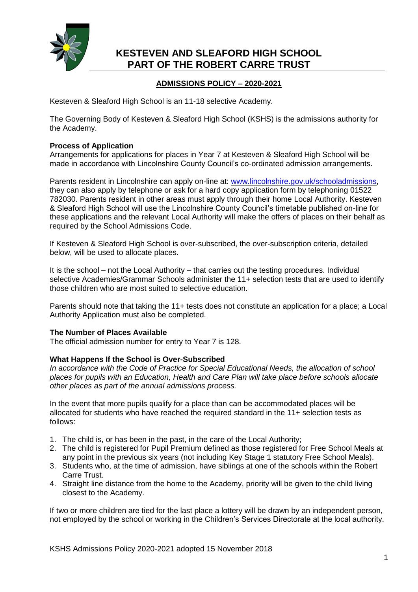

## **ADMISSIONS POLICY – 2020-2021**

Kesteven & Sleaford High School is an 11-18 selective Academy.

The Governing Body of Kesteven & Sleaford High School (KSHS) is the admissions authority for the Academy.

## **Process of Application**

Arrangements for applications for places in Year 7 at Kesteven & Sleaford High School will be made in accordance with Lincolnshire County Council's co-ordinated admission arrangements.

Parents resident in Lincolnshire can apply on-line at: [www.lincolnshire.gov.uk/schooladmissions,](http://www.lincolnshire.gov.uk/schooladmissions) they can also apply by telephone or ask for a hard copy application form by telephoning 01522 782030. Parents resident in other areas must apply through their home Local Authority. Kesteven & Sleaford High School will use the Lincolnshire County Council's timetable published on-line for these applications and the relevant Local Authority will make the offers of places on their behalf as required by the School Admissions Code.

If Kesteven & Sleaford High School is over-subscribed, the over-subscription criteria, detailed below, will be used to allocate places.

It is the school – not the Local Authority – that carries out the testing procedures. Individual selective Academies/Grammar Schools administer the 11+ selection tests that are used to identify those children who are most suited to selective education.

Parents should note that taking the 11+ tests does not constitute an application for a place; a Local Authority Application must also be completed.

### **The Number of Places Available**

The official admission number for entry to Year 7 is 128.

### **What Happens If the School is Over-Subscribed**

*In accordance with the Code of Practice for Special Educational Needs, the allocation of school places for pupils with an Education, Health and Care Plan will take place before schools allocate other places as part of the annual admissions process.*

In the event that more pupils qualify for a place than can be accommodated places will be allocated for students who have reached the required standard in the 11+ selection tests as follows:

- 1. The child is, or has been in the past, in the care of the Local Authority;
- 2. The child is registered for Pupil Premium defined as those registered for Free School Meals at any point in the previous six years (not including Key Stage 1 statutory Free School Meals).
- 3. Students who, at the time of admission, have siblings at one of the schools within the Robert Carre Trust.
- 4. Straight line distance from the home to the Academy, priority will be given to the child living closest to the Academy.

If two or more children are tied for the last place a lottery will be drawn by an independent person, not employed by the school or working in the Children's Services Directorate at the local authority.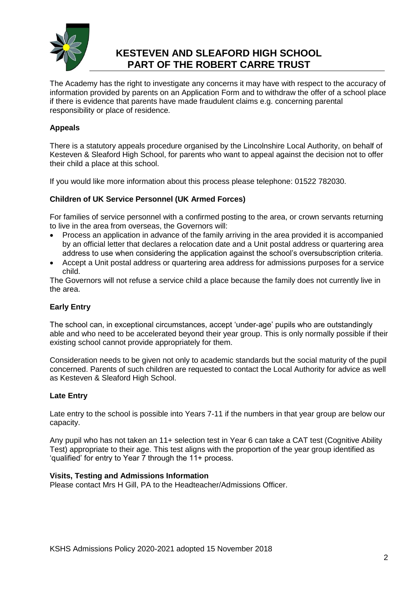

The Academy has the right to investigate any concerns it may have with respect to the accuracy of information provided by parents on an Application Form and to withdraw the offer of a school place if there is evidence that parents have made fraudulent claims e.g. concerning parental responsibility or place of residence*.*

## **Appeals**

There is a statutory appeals procedure organised by the Lincolnshire Local Authority, on behalf of Kesteven & Sleaford High School, for parents who want to appeal against the decision not to offer their child a place at this school.

If you would like more information about this process please telephone: 01522 782030.

## **Children of UK Service Personnel (UK Armed Forces)**

For families of service personnel with a confirmed posting to the area, or crown servants returning to live in the area from overseas, the Governors will:

- Process an application in advance of the family arriving in the area provided it is accompanied by an official letter that declares a relocation date and a Unit postal address or quartering area address to use when considering the application against the school's oversubscription criteria.
- Accept a Unit postal address or quartering area address for admissions purposes for a service child.

The Governors will not refuse a service child a place because the family does not currently live in the area.

## **Early Entry**

The school can, in exceptional circumstances, accept 'under-age' pupils who are outstandingly able and who need to be accelerated beyond their year group. This is only normally possible if their existing school cannot provide appropriately for them.

Consideration needs to be given not only to academic standards but the social maturity of the pupil concerned. Parents of such children are requested to contact the Local Authority for advice as well as Kesteven & Sleaford High School.

### **Late Entry**

Late entry to the school is possible into Years 7-11 if the numbers in that year group are below our capacity.

Any pupil who has not taken an 11+ selection test in Year 6 can take a CAT test (Cognitive Ability Test) appropriate to their age. This test aligns with the proportion of the year group identified as 'qualified' for entry to Year 7 through the 11+ process.

### **Visits, Testing and Admissions Information**

Please contact Mrs H Gill, PA to the Headteacher/Admissions Officer.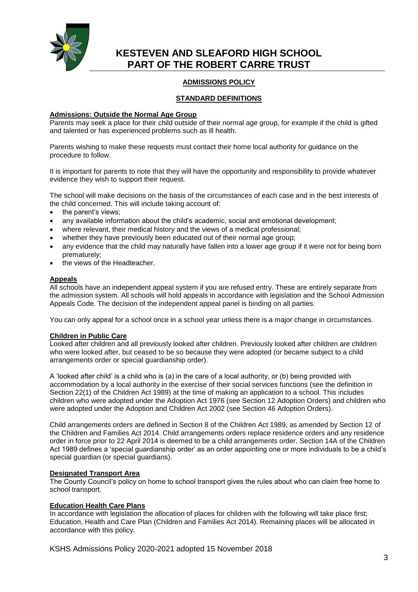

## **ADMISSIONS POLICY**

### **STANDARD DEFINITIONS**

#### **Admissions: Outside the Normal Age Group**

Parents may seek a place for their child outside of their normal age group, for example if the child is gifted and talented or has experienced problems such as ill health.

Parents wishing to make these requests must contact their home local authority for guidance on the procedure to follow.

It is important for parents to note that they will have the opportunity and responsibility to provide whatever evidence they wish to support their request.

The school will make decisions on the basis of the circumstances of each case and in the best interests of the child concerned. This will include taking account of:

- the parent's views;
- any available information about the child's academic, social and emotional development;
- where relevant, their medical history and the views of a medical professional;
- whether they have previously been educated out of their normal age group;
- any evidence that the child may naturally have fallen into a lower age group if it were not for being born prematurely;
- the views of the Headteacher.

#### **Appeals**

All schools have an independent appeal system if you are refused entry. These are entirely separate from the admission system. All schools will hold appeals in accordance with legislation and the School Admission Appeals Code. The decision of the independent appeal panel is binding on all parties.

You can only appeal for a school once in a school year unless there is a major change in circumstances.

#### **Children in Public Care**

Looked after children and all previously looked after children. Previously looked after children are children who were looked after, but ceased to be so because they were adopted (or became subject to a child arrangements order or special guardianship order).

A 'looked after child' is a child who is (a) in the care of a local authority, or (b) being provided with accommodation by a local authority in the exercise of their social services functions (see the definition in Section 22(1) of the Children Act 1989) at the time of making an application to a school. This includes children who were adopted under the Adoption Act 1976 (see Section 12 Adoption Orders) and children who were adopted under the Adoption and Children Act 2002 (see Section 46 Adoption Orders).

Child arrangements orders are defined in Section 8 of the Children Act 1989, as amended by Section 12 of the Children and Families Act 2014. Child arrangements orders replace residence orders and any residence order in force prior to 22 April 2014 is deemed to be a child arrangements order. Section 14A of the Children Act 1989 defines a 'special guardianship order' as an order appointing one or more individuals to be a child's special guardian (or special guardians).

#### **Designated Transport Area**

The County Council's policy on home to school transport gives the rules about who can claim free home to school transport.

#### **Education Health Care Plans**

In accordance with legislation the allocation of places for children with the following will take place first; Education, Health and Care Plan (Children and Families Act 2014). Remaining places will be allocated in accordance with this policy.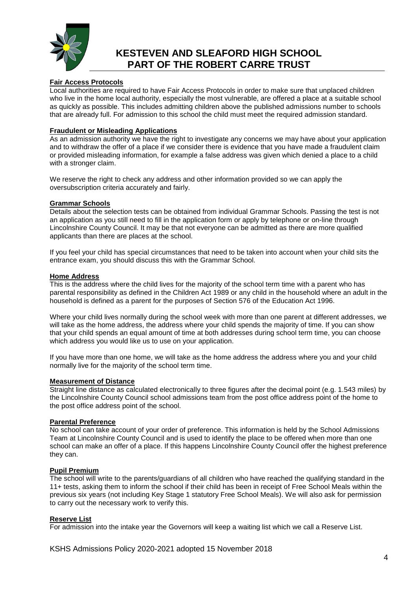

#### **Fair Access Protocols**

Local authorities are required to have Fair Access Protocols in order to make sure that unplaced children who live in the home local authority, especially the most vulnerable, are offered a place at a suitable school as quickly as possible. This includes admitting children above the published admissions number to schools that are already full. For admission to this school the child must meet the required admission standard.

#### **Fraudulent or Misleading Applications**

As an admission authority we have the right to investigate any concerns we may have about your application and to withdraw the offer of a place if we consider there is evidence that you have made a fraudulent claim or provided misleading information, for example a false address was given which denied a place to a child with a stronger claim.

We reserve the right to check any address and other information provided so we can apply the oversubscription criteria accurately and fairly.

#### **Grammar Schools**

Details about the selection tests can be obtained from individual Grammar Schools. Passing the test is not an application as you still need to fill in the application form or apply by telephone or on-line through Lincolnshire County Council. It may be that not everyone can be admitted as there are more qualified applicants than there are places at the school.

If you feel your child has special circumstances that need to be taken into account when your child sits the entrance exam, you should discuss this with the Grammar School.

#### **Home Address**

This is the address where the child lives for the majority of the school term time with a parent who has parental responsibility as defined in the Children Act 1989 or any child in the household where an adult in the household is defined as a parent for the purposes of Section 576 of the Education Act 1996.

Where your child lives normally during the school week with more than one parent at different addresses, we will take as the home address, the address where your child spends the majority of time. If you can show that your child spends an equal amount of time at both addresses during school term time, you can choose which address you would like us to use on your application.

If you have more than one home, we will take as the home address the address where you and your child normally live for the majority of the school term time.

#### **Measurement of Distance**

Straight line distance as calculated electronically to three figures after the decimal point (e.g. 1.543 miles) by the Lincolnshire County Council school admissions team from the post office address point of the home to the post office address point of the school.

#### **Parental Preference**

No school can take account of your order of preference. This information is held by the School Admissions Team at Lincolnshire County Council and is used to identify the place to be offered when more than one school can make an offer of a place. If this happens Lincolnshire County Council offer the highest preference they can.

#### **Pupil Premium**

The school will write to the parents/guardians of all children who have reached the qualifying standard in the 11+ tests, asking them to inform the school if their child has been in receipt of Free School Meals within the previous six years (not including Key Stage 1 statutory Free School Meals). We will also ask for permission to carry out the necessary work to verify this.

#### **Reserve List**

For admission into the intake year the Governors will keep a waiting list which we call a Reserve List.

KSHS Admissions Policy 2020-2021 adopted 15 November 2018